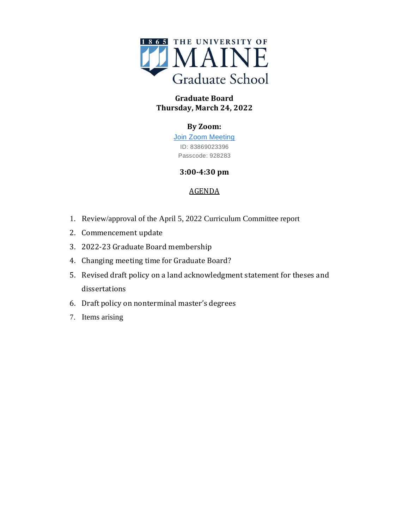

## **Graduate Board Thursday, March 24, 2022**

# **By Zoom:**

[Join Zoom Meeting](https://www.google.com/url?q=https://maine.zoom.us/j/83869023396?pwd%3DMzFDNHhMdWl6YlU4cEZENzlpbXhwQT09&sa=D&source=calendar&ust=1650820340855035&usg=AOvVaw0dJqrCrHWKplMf41l4sHte) ID: 83869023396 Passcode: 928283

### **3:00-4:30 pm**

## AGENDA

- 1. Review/approval of the April 5, 2022 Curriculum Committee report
- 2. Commencement update
- 3. 2022-23 Graduate Board membership
- 4. Changing meeting time for Graduate Board?
- 5. Revised draft policy on a land acknowledgment statement for theses and dissertations
- 6. Draft policy on nonterminal master's degrees
- 7. Items arising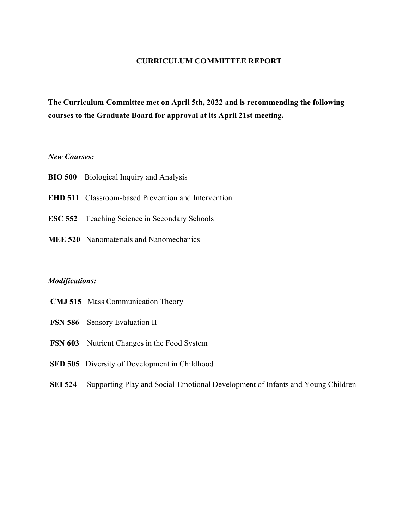### **CURRICULUM COMMITTEE REPORT**

**The Curriculum Committee met on April 5th, 2022 and is recommending the following courses to the Graduate Board for approval at its April 21st meeting.**

### *New Courses:*

- **BIO 500** Biological Inquiry and Analysis
- **EHD 511** Classroom-based Prevention and Intervention
- **ESC 552** Teaching Science in Secondary Schools
- **MEE 520** Nanomaterials and Nanomechanics

#### *Modifications:*

- **CMJ 515** Mass Communication Theory
- **FSN 586** Sensory Evaluation II
- **FSN 603** Nutrient Changes in the Food System
- **SED 505** Diversity of Development in Childhood
- **SEI 524** Supporting Play and Social-Emotional Development of Infants and Young Children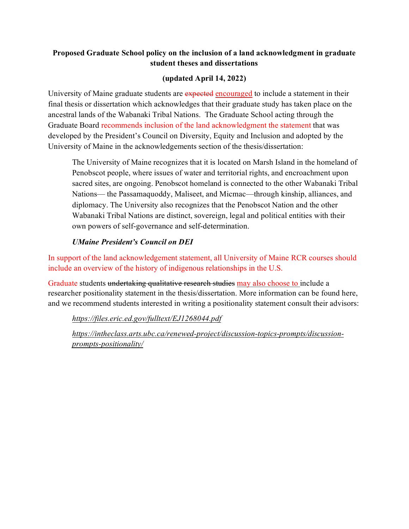## **Proposed Graduate School policy on the inclusion of a land acknowledgment in graduate student theses and dissertations**

# **(updated April 14, 2022)**

University of Maine graduate students are expected encouraged to include a statement in their final thesis or dissertation which acknowledges that their graduate study has taken place on the ancestral lands of the Wabanaki Tribal Nations. The Graduate School acting through the Graduate Board recommends inclusion of the land acknowledgment the statement that was developed by the President's Council on Diversity, Equity and Inclusion and adopted by the University of Maine in the acknowledgements section of the thesis/dissertation:

The University of Maine recognizes that it is located on Marsh Island in the homeland of Penobscot people, where issues of water and territorial rights, and encroachment upon sacred sites, are ongoing. Penobscot homeland is connected to the other Wabanaki Tribal Nations— the Passamaquoddy, Maliseet, and Micmac—through kinship, alliances, and diplomacy. The University also recognizes that the Penobscot Nation and the other Wabanaki Tribal Nations are distinct, sovereign, legal and political entities with their own powers of self-governance and self-determination.

## *UMaine President's Council on DEI*

In support of the land acknowledgement statement, all University of Maine RCR courses should include an overview of the history of indigenous relationships in the U.S.

Graduate students undertaking qualitative research studies may also choose to include a researcher positionality statement in the thesis/dissertation. More information can be found here, and we recommend students interested in writing a positionality statement consult their advisors:

*<https://files.eric.ed.gov/fulltext/EJ1268044.pdf>*

*[https://intheclass.arts.ubc.ca/renewed-project/discussion-topics-prompts/discussion](https://intheclass.arts.ubc.ca/renewed-project/discussion-topics-prompts/discussion-prompts-positionality/)[prompts-positionality/](https://intheclass.arts.ubc.ca/renewed-project/discussion-topics-prompts/discussion-prompts-positionality/)*